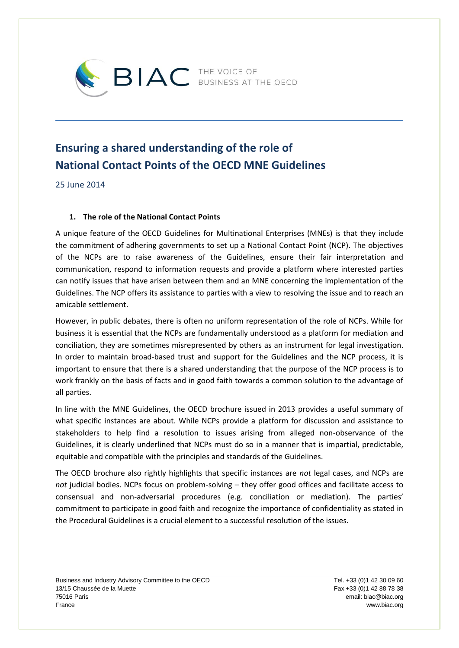

## **Ensuring a shared understanding of the role of National Contact Points of the OECD MNE Guidelines**

25 June 2014

## **1. The role of the National Contact Points**

A unique feature of the OECD Guidelines for Multinational Enterprises (MNEs) is that they include the commitment of adhering governments to set up a National Contact Point (NCP). The objectives of the NCPs are to raise awareness of the Guidelines, ensure their fair interpretation and communication, respond to information requests and provide a platform where interested parties can notify issues that have arisen between them and an MNE concerning the implementation of the Guidelines. The NCP offers its assistance to parties with a view to resolving the issue and to reach an amicable settlement.

However, in public debates, there is often no uniform representation of the role of NCPs. While for business it is essential that the NCPs are fundamentally understood as a platform for mediation and conciliation, they are sometimes misrepresented by others as an instrument for legal investigation. In order to maintain broad-based trust and support for the Guidelines and the NCP process, it is important to ensure that there is a shared understanding that the purpose of the NCP process is to work frankly on the basis of facts and in good faith towards a common solution to the advantage of all parties.

In line with the MNE Guidelines, the OECD brochure issued in 2013 provides a useful summary of what specific instances are about. While NCPs provide a platform for discussion and assistance to stakeholders to help find a resolution to issues arising from alleged non-observance of the Guidelines, it is clearly underlined that NCPs must do so in a manner that is impartial, predictable, equitable and compatible with the principles and standards of the Guidelines.

The OECD brochure also rightly highlights that specific instances are *not* legal cases, and NCPs are not judicial bodies. NCPs focus on problem-solving - they offer good offices and facilitate access to consensual and non-adversarial procedures (e.g. conciliation or mediation). The parties' commitment to participate in good faith and recognize the importance of confidentiality as stated in the Procedural Guidelines is a crucial element to a successful resolution of the issues.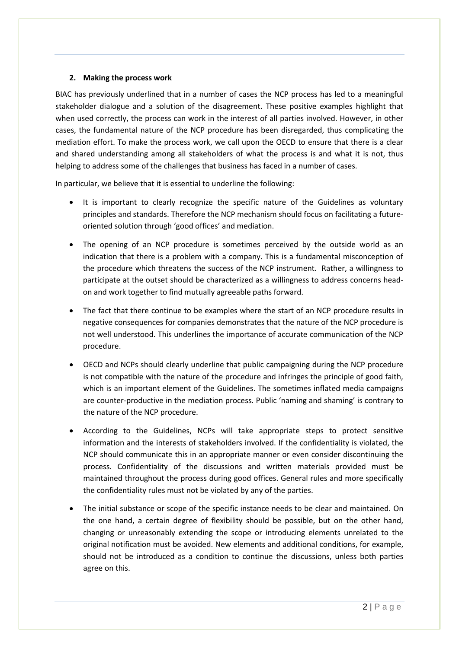## **2. Making the process work**

BIAC has previously underlined that in a number of cases the NCP process has led to a meaningful stakeholder dialogue and a solution of the disagreement. These positive examples highlight that when used correctly, the process can work in the interest of all parties involved. However, in other cases, the fundamental nature of the NCP procedure has been disregarded, thus complicating the mediation effort. To make the process work, we call upon the OECD to ensure that there is a clear and shared understanding among all stakeholders of what the process is and what it is not, thus helping to address some of the challenges that business has faced in a number of cases.

In particular, we believe that it is essential to underline the following:

- It is important to clearly recognize the specific nature of the Guidelines as voluntary principles and standards. Therefore the NCP mechanism should focus on facilitating a futureoriented solution through 'good offices' and mediation.
- The opening of an NCP procedure is sometimes perceived by the outside world as an indication that there is a problem with a company. This is a fundamental misconception of the procedure which threatens the success of the NCP instrument. Rather, a willingness to participate at the outset should be characterized as a willingness to address concerns headon and work together to find mutually agreeable paths forward.
- The fact that there continue to be examples where the start of an NCP procedure results in negative consequences for companies demonstrates that the nature of the NCP procedure is not well understood. This underlines the importance of accurate communication of the NCP procedure.
- OECD and NCPs should clearly underline that public campaigning during the NCP procedure is not compatible with the nature of the procedure and infringes the principle of good faith, which is an important element of the Guidelines. The sometimes inflated media campaigns are counter-productive in the mediation process. Public 'naming and shaming' is contrary to the nature of the NCP procedure.
- According to the Guidelines, NCPs will take appropriate steps to protect sensitive information and the interests of stakeholders involved. If the confidentiality is violated, the NCP should communicate this in an appropriate manner or even consider discontinuing the process. Confidentiality of the discussions and written materials provided must be maintained throughout the process during good offices. General rules and more specifically the confidentiality rules must not be violated by any of the parties.
- The initial substance or scope of the specific instance needs to be clear and maintained. On the one hand, a certain degree of flexibility should be possible, but on the other hand, changing or unreasonably extending the scope or introducing elements unrelated to the original notification must be avoided. New elements and additional conditions, for example, should not be introduced as a condition to continue the discussions, unless both parties agree on this.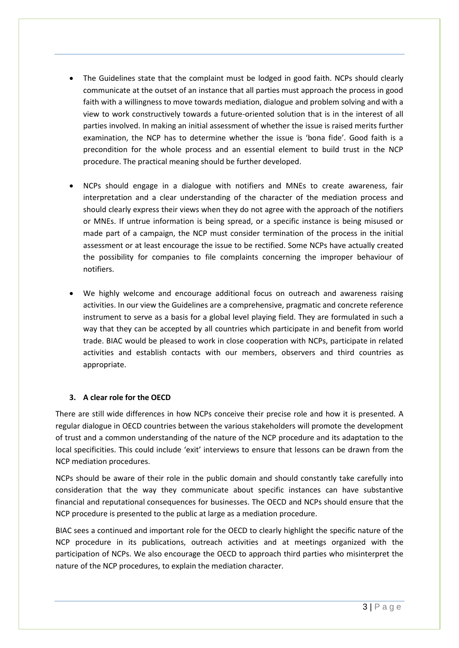- The Guidelines state that the complaint must be lodged in good faith. NCPs should clearly communicate at the outset of an instance that all parties must approach the process in good faith with a willingness to move towards mediation, dialogue and problem solving and with a view to work constructively towards a future-oriented solution that is in the interest of all parties involved. In making an initial assessment of whether the issue is raised merits further examination, the NCP has to determine whether the issue is 'bona fide'. Good faith is a precondition for the whole process and an essential element to build trust in the NCP procedure. The practical meaning should be further developed.
- NCPs should engage in a dialogue with notifiers and MNEs to create awareness, fair interpretation and a clear understanding of the character of the mediation process and should clearly express their views when they do not agree with the approach of the notifiers or MNEs. If untrue information is being spread, or a specific instance is being misused or made part of a campaign, the NCP must consider termination of the process in the initial assessment or at least encourage the issue to be rectified. Some NCPs have actually created the possibility for companies to file complaints concerning the improper behaviour of notifiers.
- We highly welcome and encourage additional focus on outreach and awareness raising activities. In our view the Guidelines are a comprehensive, pragmatic and concrete reference instrument to serve as a basis for a global level playing field. They are formulated in such a way that they can be accepted by all countries which participate in and benefit from world trade. BIAC would be pleased to work in close cooperation with NCPs, participate in related activities and establish contacts with our members, observers and third countries as appropriate.

## **3. A clear role for the OECD**

There are still wide differences in how NCPs conceive their precise role and how it is presented. A regular dialogue in OECD countries between the various stakeholders will promote the development of trust and a common understanding of the nature of the NCP procedure and its adaptation to the local specificities. This could include 'exit' interviews to ensure that lessons can be drawn from the NCP mediation procedures.

NCPs should be aware of their role in the public domain and should constantly take carefully into consideration that the way they communicate about specific instances can have substantive financial and reputational consequences for businesses. The OECD and NCPs should ensure that the NCP procedure is presented to the public at large as a mediation procedure.

BIAC sees a continued and important role for the OECD to clearly highlight the specific nature of the NCP procedure in its publications, outreach activities and at meetings organized with the participation of NCPs. We also encourage the OECD to approach third parties who misinterpret the nature of the NCP procedures, to explain the mediation character.